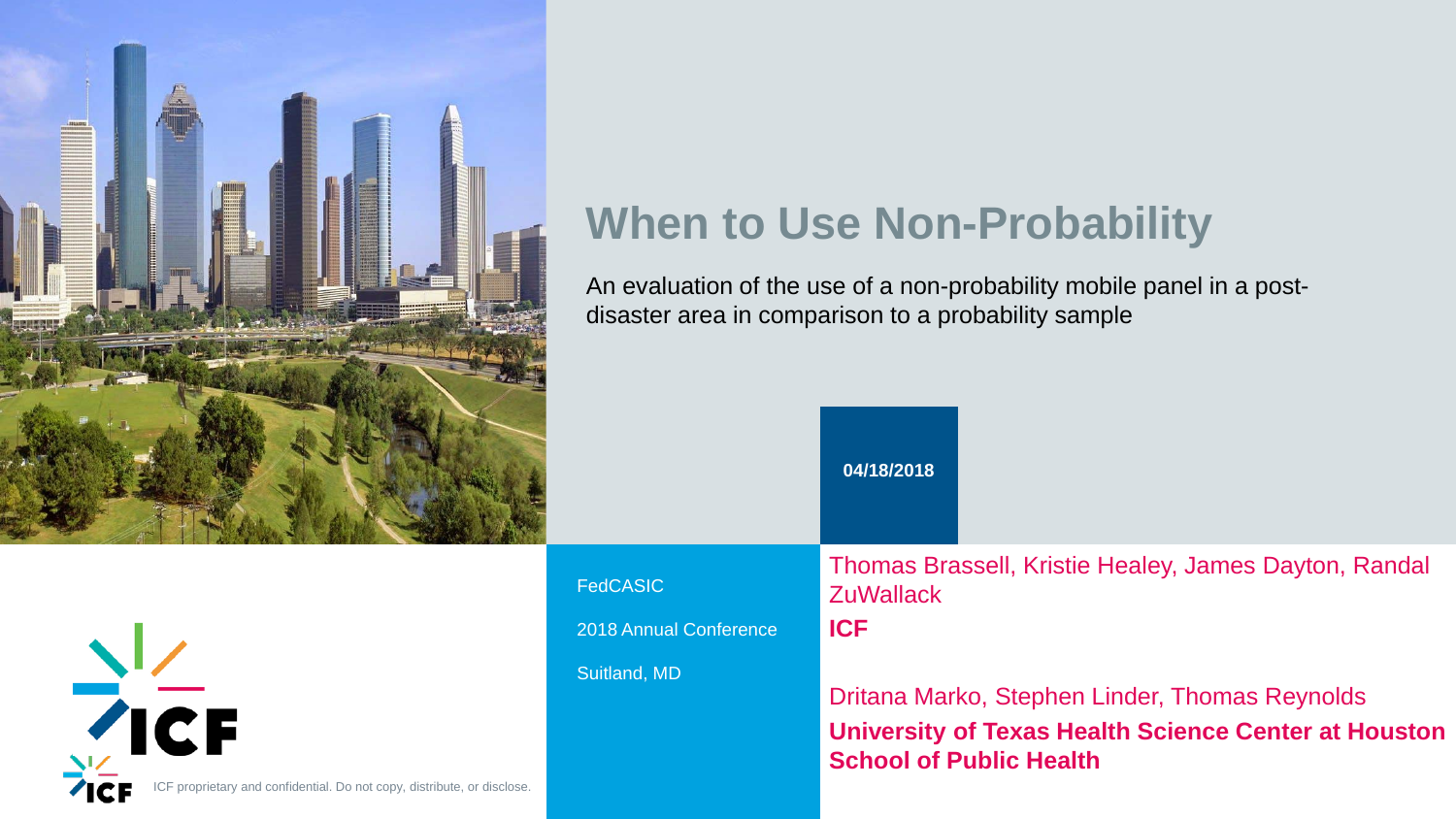$\frac{N}{\sqrt{C}}$ ICF proprietary and confidential. Do not copy, distribute, or disclose.



## Iey, James Dayton, Randal

## er, Thomas Reynolds **Science Center at Houston**



## **When to Use Non-Probability**

An evaluation of the use of a non-probability mobile panel in a postdisaster area in comparison to a probability sample

|                                                  | 04/18/2018                                                                                            |  |
|--------------------------------------------------|-------------------------------------------------------------------------------------------------------|--|
| <b>FedCASIC</b><br><b>2018 Annual Conference</b> | <b>Thomas Brassell, Kristie Heal</b><br><b>ZuWallack</b><br><b>ICF</b>                                |  |
| <b>Suitland, MD</b>                              | Dritana Marko, Stephen Linde<br><b>University of Texas Health S</b><br><b>School of Public Health</b> |  |

Fe

**Su**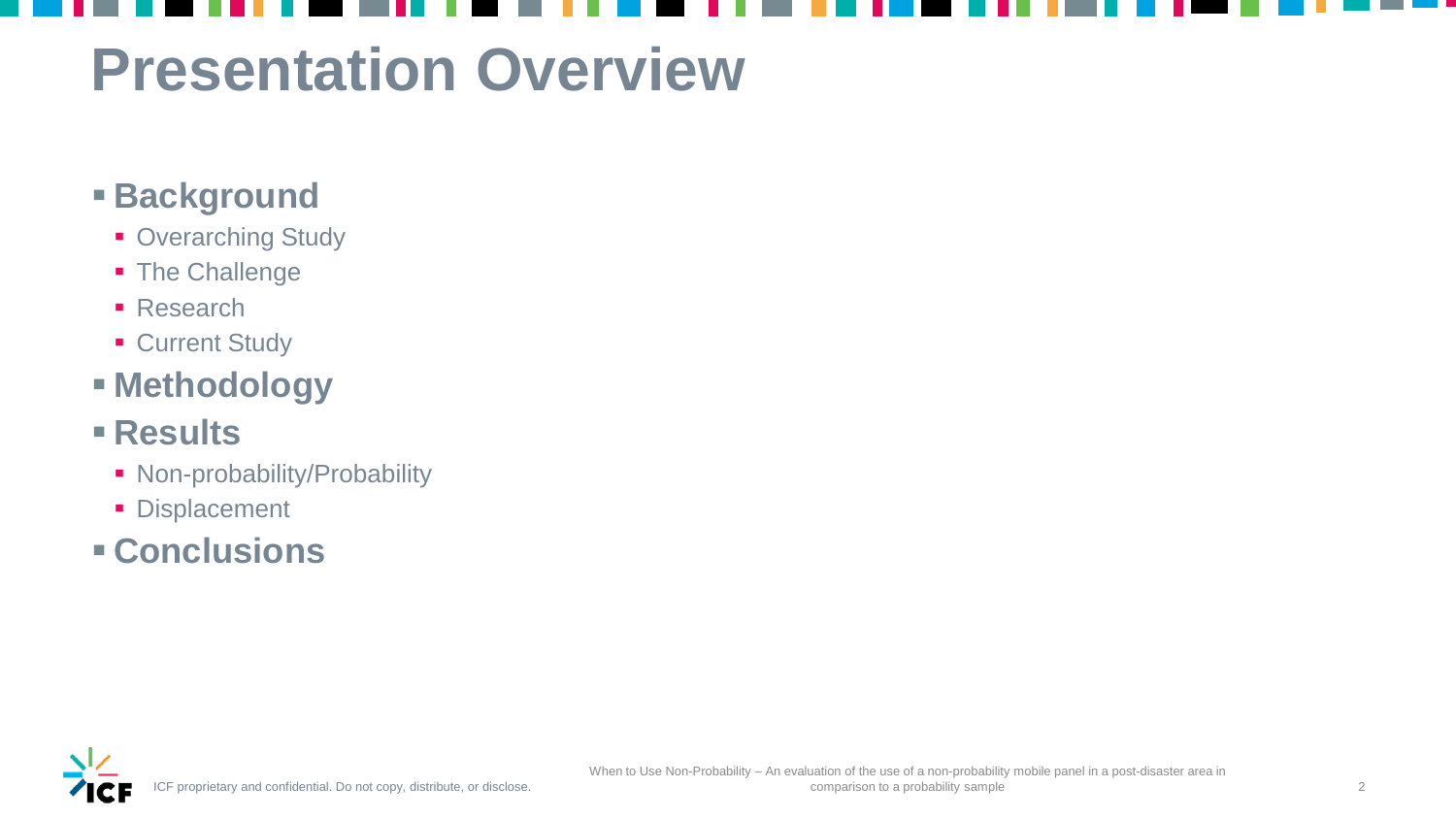## **Presentation Overview**

## **Background**

- **Overarching Study**
- **The Challenge**
- **Research**
- **Current Study**

- Non-probability/Probability
- **Displacement**
- **Conclusions**



## **Methodology**

## **Results**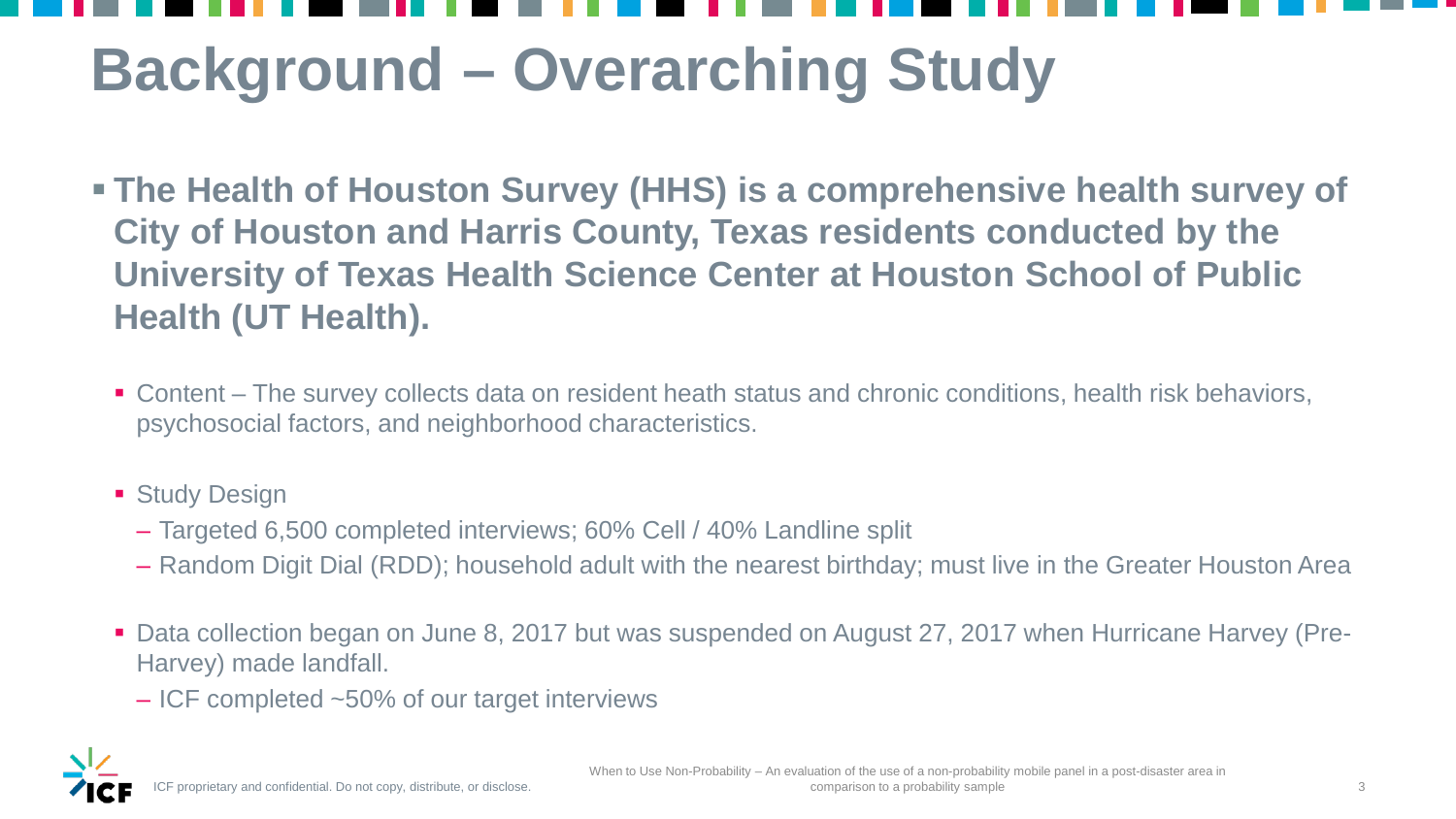## **Background – Overarching Study**

- **The Health of Houston Survey (HHS) is a comprehensive health survey of City of Houston and Harris County, Texas residents conducted by the University of Texas Health Science Center at Houston School of Public Health (UT Health).**
	- Content The survey collects data on resident heath status and chronic conditions, health risk behaviors, psychosocial factors, and neighborhood characteristics.
	- **Study Design** 
		- Targeted 6,500 completed interviews; 60% Cell / 40% Landline split
		- Random Digit Dial (RDD); household adult with the nearest birthday; must live in the Greater Houston Area
	- Data collection began on June 8, 2017 but was suspended on August 27, 2017 when Hurricane Harvey (Pre-Harvey) made landfall.
		- ICF completed ~50% of our target interviews



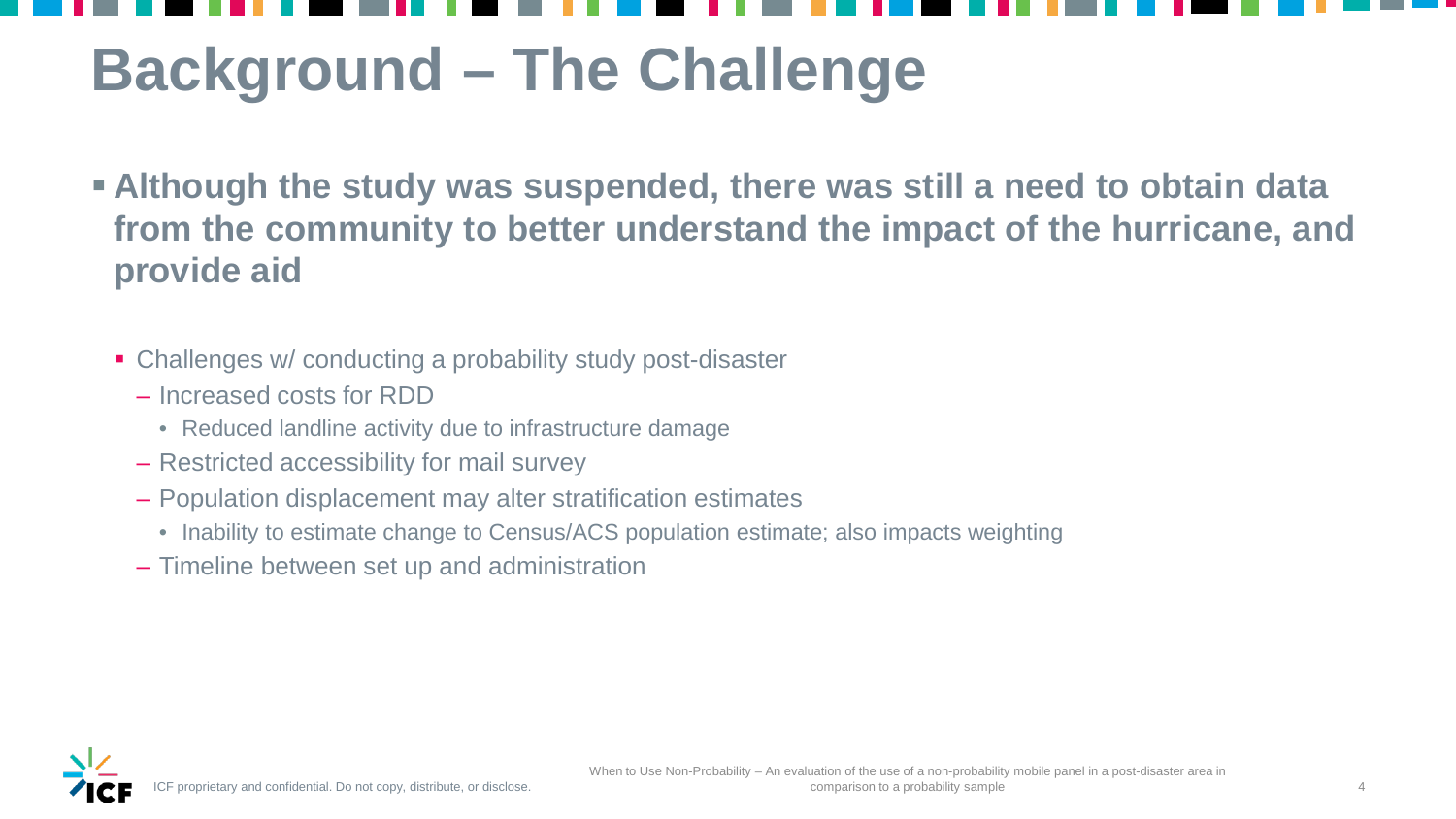## **Background – The Challenge**

- **Although the study was suspended, there was still a need to obtain data from the community to better understand the impact of the hurricane, and provide aid**
	- Challenges w/ conducting a probability study post-disaster
		- Increased costs for RDD
			- Reduced landline activity due to infrastructure damage
		- Restricted accessibility for mail survey
		- Population displacement may alter stratification estimates
			- Inability to estimate change to Census/ACS population estimate; also impacts weighting
		- Timeline between set up and administration



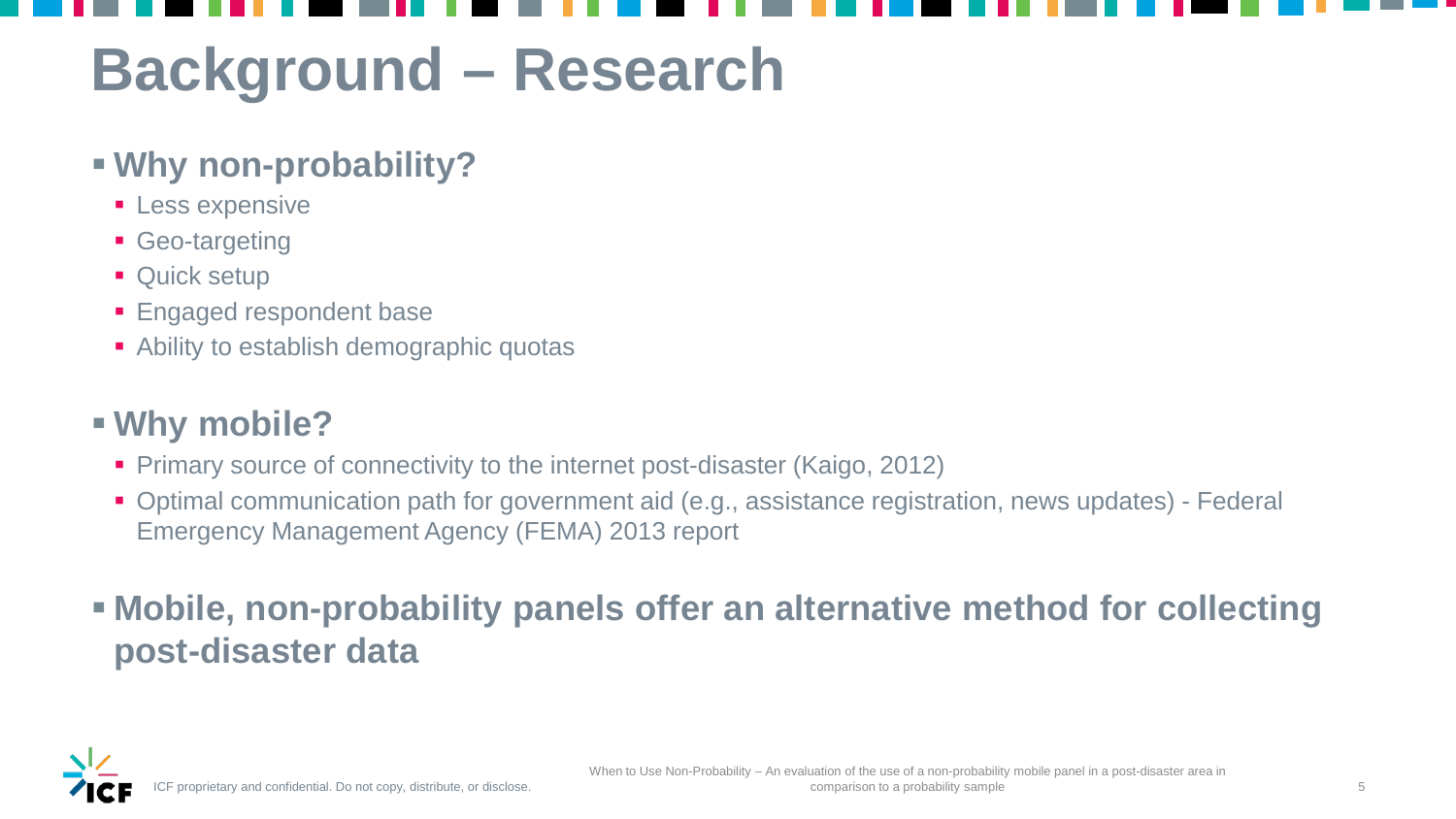## **Background – Research**

## **Why non-probability?**

- **ELESS expensive**
- **Geo-targeting**
- **Quick setup**
- **Engaged respondent base**
- Ability to establish demographic quotas

- **Primary source of connectivity to the internet post-disaster (Kaigo, 2012)**
- Optimal communication path for government aid (e.g., assistance registration, news updates) Federal Emergency Management Agency (FEMA) 2013 report

## **Why mobile?**

 **Mobile, non-probability panels offer an alternative method for collecting post-disaster data**

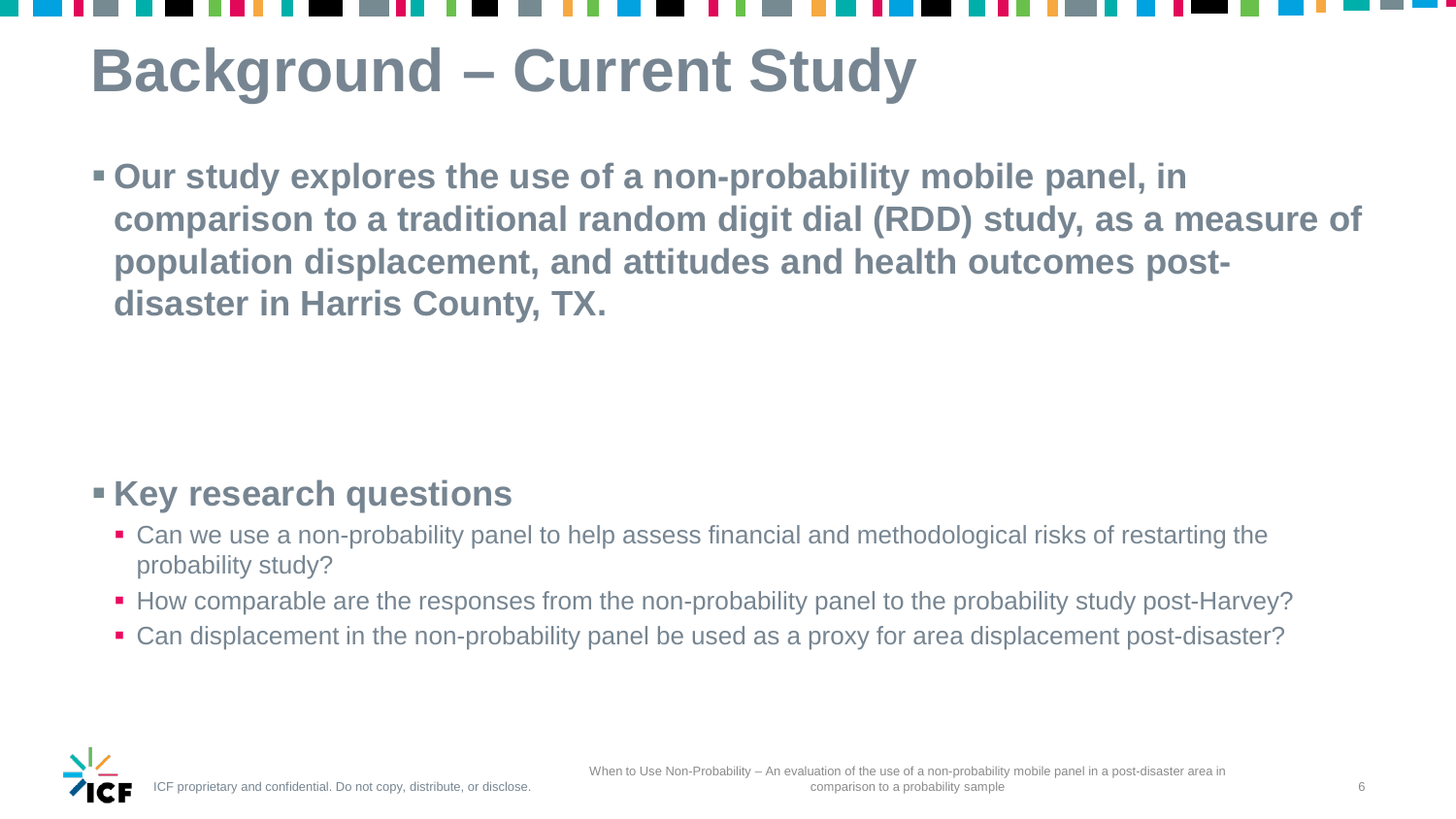## **Background – Current Study**

 **Our study explores the use of a non-probability mobile panel, in comparison to a traditional random digit dial (RDD) study, as a measure of population displacement, and attitudes and health outcomes postdisaster in Harris County, TX.**

## **Key research questions**

- Can we use a non-probability panel to help assess financial and methodological risks of restarting the probability study?
- How comparable are the responses from the non-probability panel to the probability study post-Harvey?
- Can displacement in the non-probability panel be used as a proxy for area displacement post-disaster?

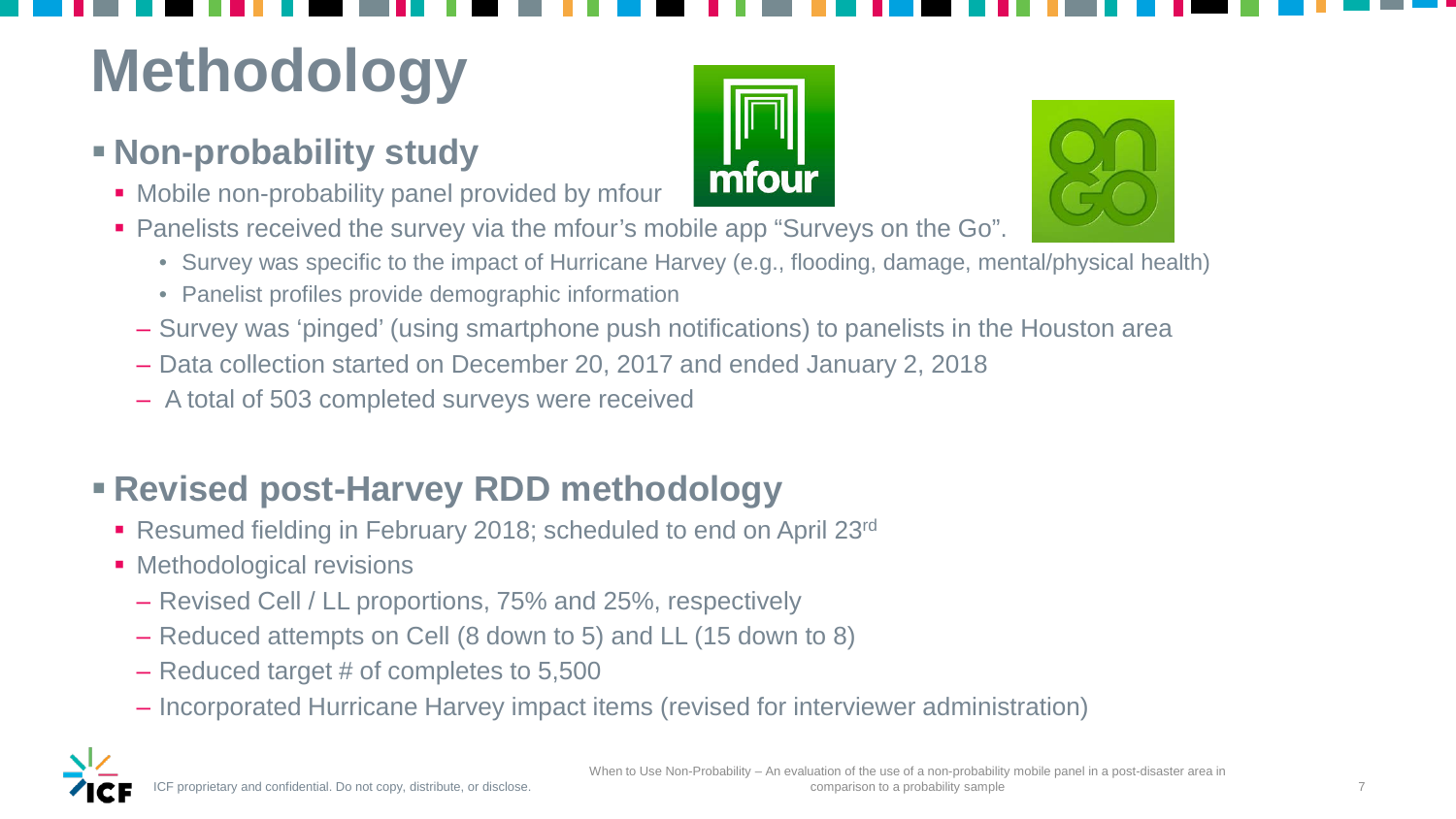## **Methodology**

## **Non-probability study**

- Mobile non-probability panel provided by mfour
- Panelists received the survey via the mfour's mobile app "Surveys on the Go".
	- Survey was specific to the impact of Hurricane Harvey (e.g., flooding, damage, mental/physical health)
	- Panelist profiles provide demographic information
	- Survey was 'pinged' (using smartphone push notifications) to panelists in the Houston area
	- Data collection started on December 20, 2017 and ended January 2, 2018
	- A total of 503 completed surveys were received

- Resumed fielding in February 2018; scheduled to end on April 23rd
- **Methodological revisions** 
	- Revised Cell / LL proportions, 75% and 25%, respectively
	- Reduced attempts on Cell (8 down to 5) and LL (15 down to 8)
	- Reduced target # of completes to 5,500
	- Incorporated Hurricane Harvey impact items (revised for interviewer administration)







## **Revised post-Harvey RDD methodology**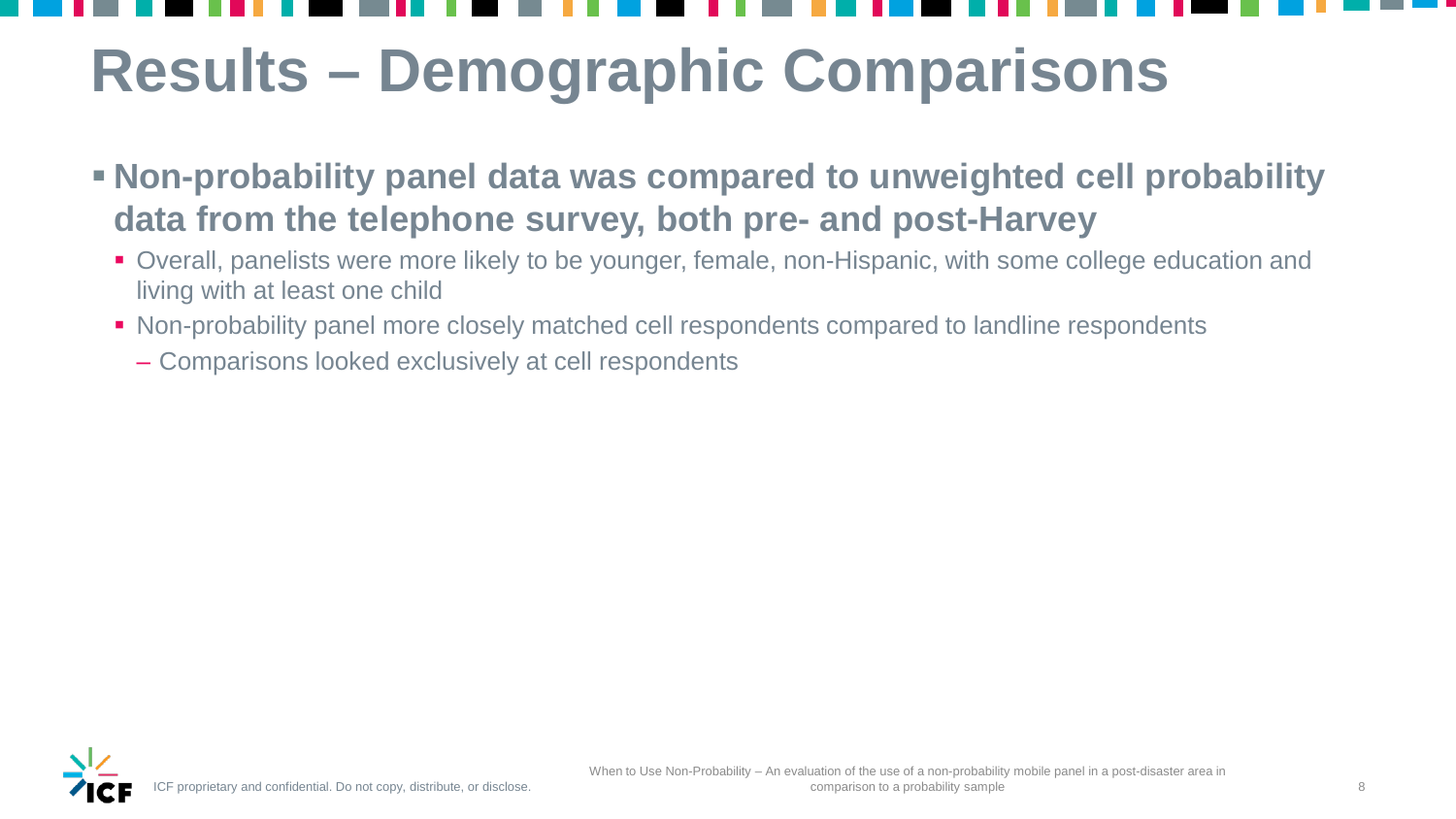## **Results – Demographic Comparisons**

- **Non-probability panel data was compared to unweighted cell probability data from the telephone survey, both pre- and post-Harvey**
	- Overall, panelists were more likely to be younger, female, non-Hispanic, with some college education and living with at least one child
	- Non-probability panel more closely matched cell respondents compared to landline respondents
		- Comparisons looked exclusively at cell respondents



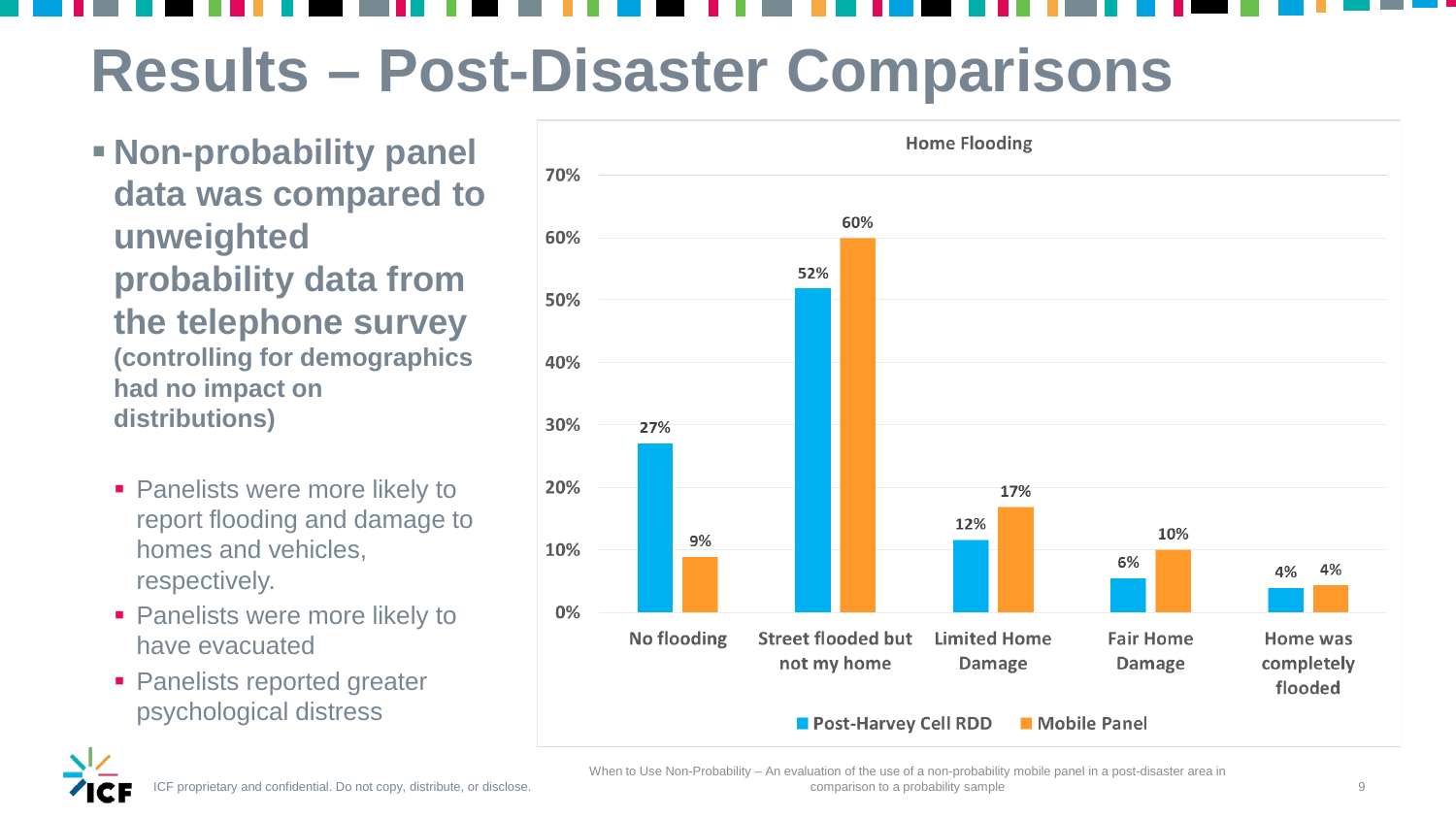- **Non-probability panel data was compared to unweighted probability data from the telephone survey (controlling for demographics had no impact on distributions)**
	- **Panelists were more likely to** report flooding and damage to homes and vehicles, respectively.
	- **Panelists were more likely to** have evacuated
	- **Panelists reported greater** psychological distress



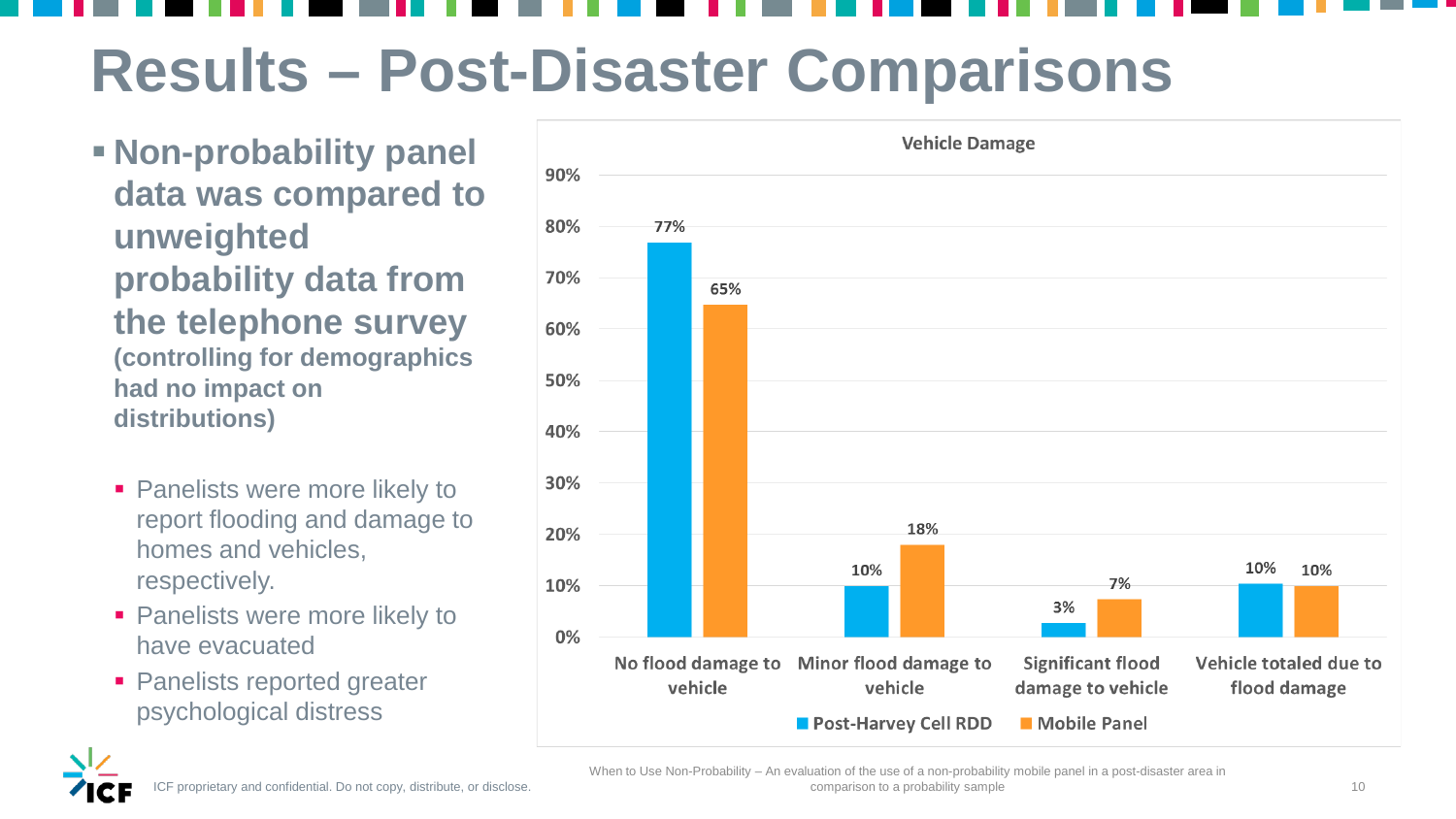- **Non-probability panel data was compared to unweighted probability data from the telephone survey (controlling for demographics had no impact on distributions)**
	- **Panelists were more likely to** report flooding and damage to homes and vehicles, respectively.
	- **Panelists were more likely to** have evacuated
	- **Panelists reported greater** psychological distress



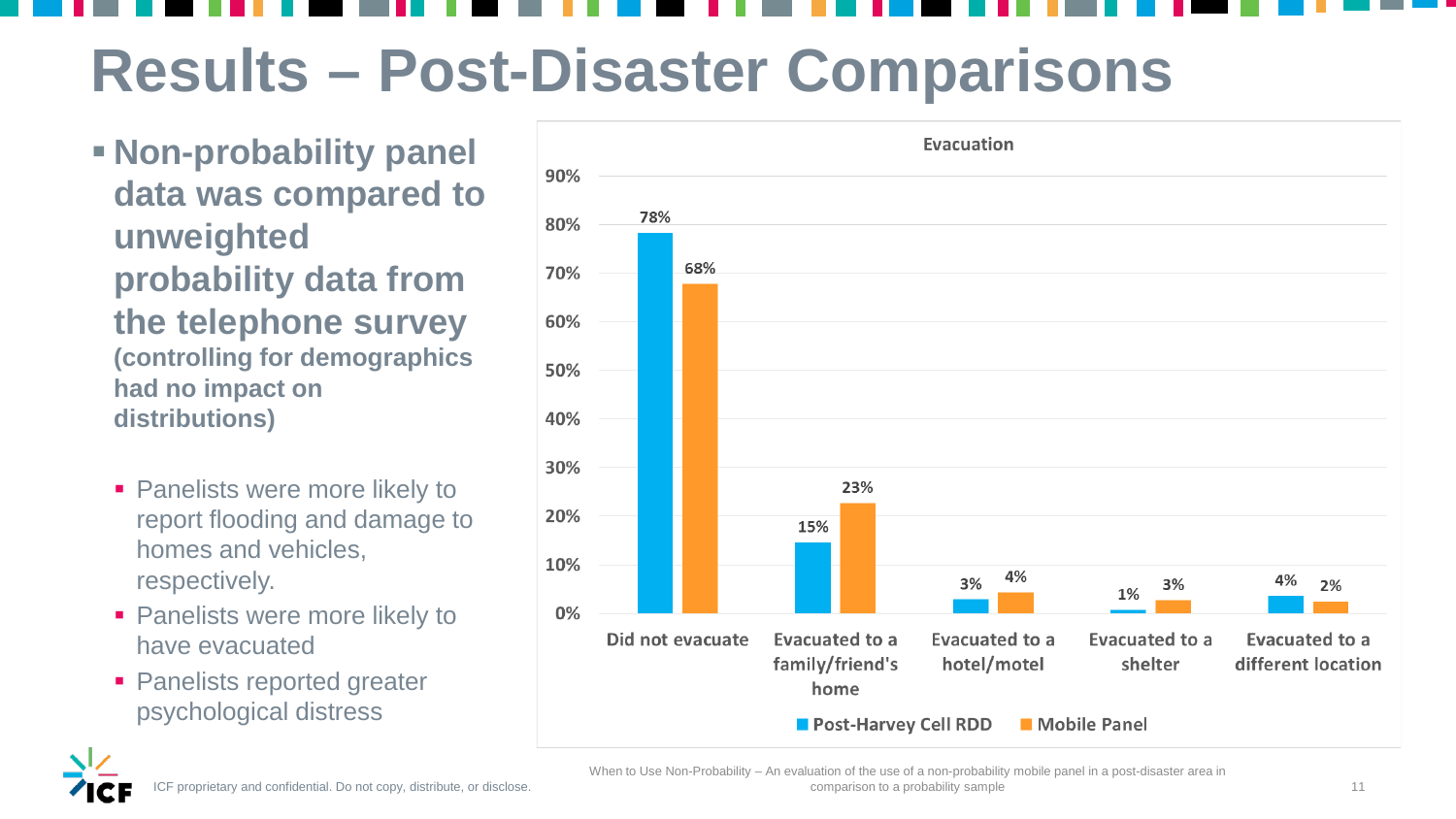- **Non-probability panel data was compared to unweighted probability data from the telephone survey (controlling for demographics had no impact on distributions)**
	- **Panelists were more likely to** report flooding and damage to homes and vehicles, respectively.
	- **Panelists were more likely to** have evacuated
	- **Panelists reported greater** psychological distress



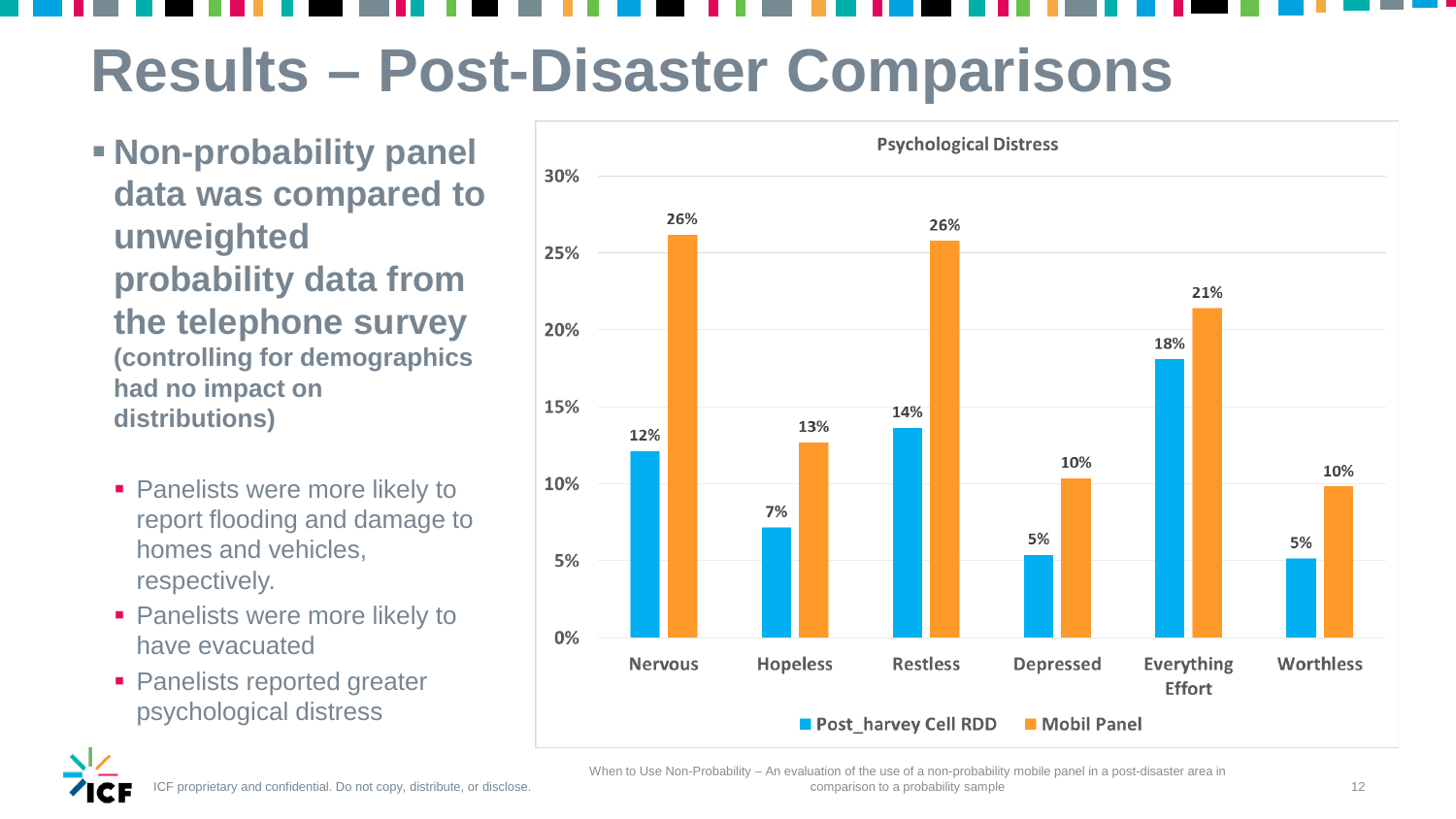- **Non-probability panel data was compared to unweighted probability data from the telephone survey (controlling for demographics had no impact on distributions)**
	- **Panelists were more likely to** report flooding and damage to homes and vehicles, respectively.
	- **Panelists were more likely to** have evacuated
	- **Panelists reported greater** psychological distress





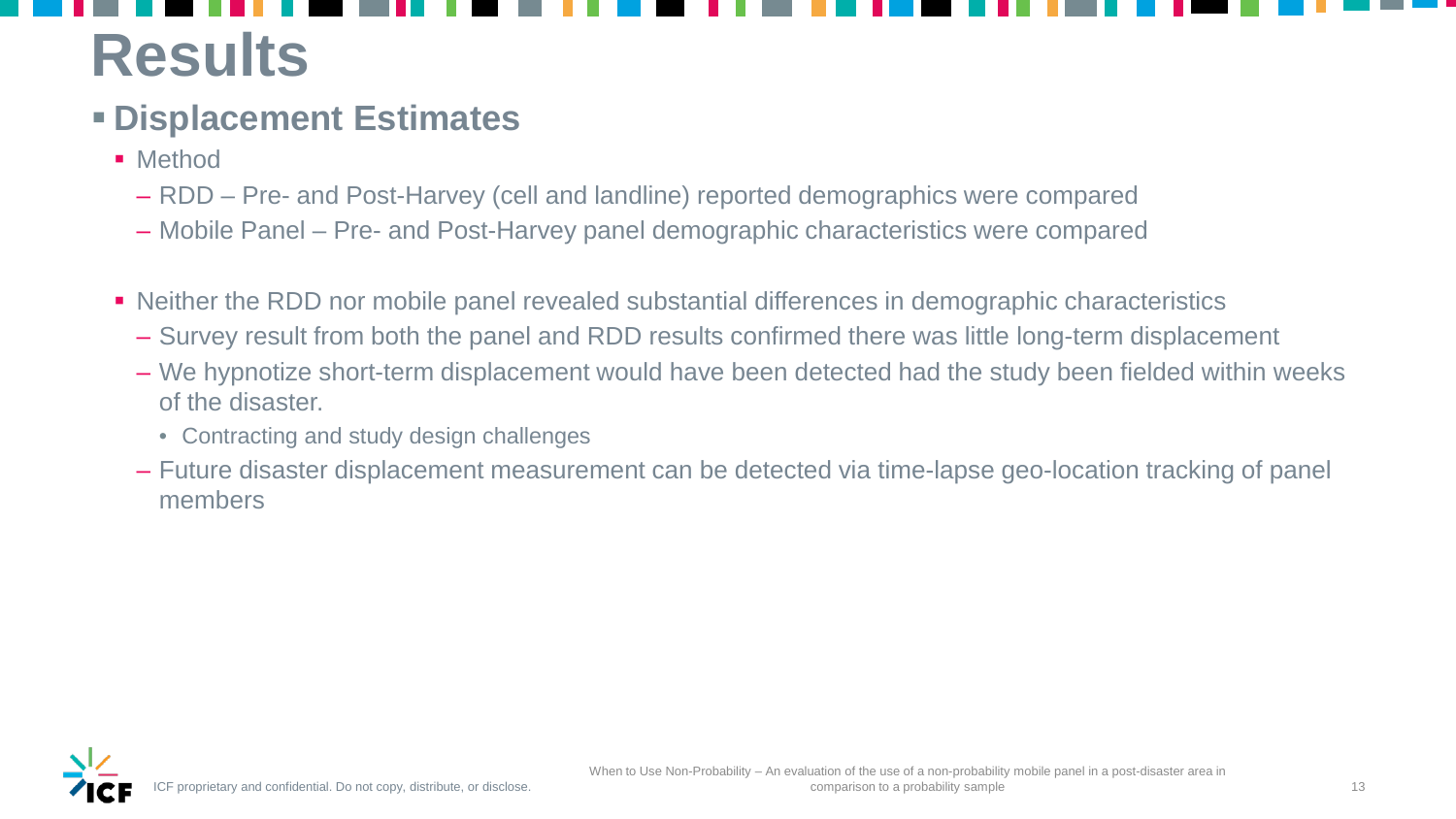## **Results**

## **Displacement Estimates**

- **Method** 
	- RDD Pre- and Post-Harvey (cell and landline) reported demographics were compared
	- Mobile Panel Pre- and Post-Harvey panel demographic characteristics were compared
- Neither the RDD nor mobile panel revealed substantial differences in demographic characteristics
	- Survey result from both the panel and RDD results confirmed there was little long-term displacement
	- We hypnotize short-term displacement would have been detected had the study been fielded within weeks of the disaster.
		- Contracting and study design challenges
	- Future disaster displacement measurement can be detected via time-lapse geo-location tracking of panel members